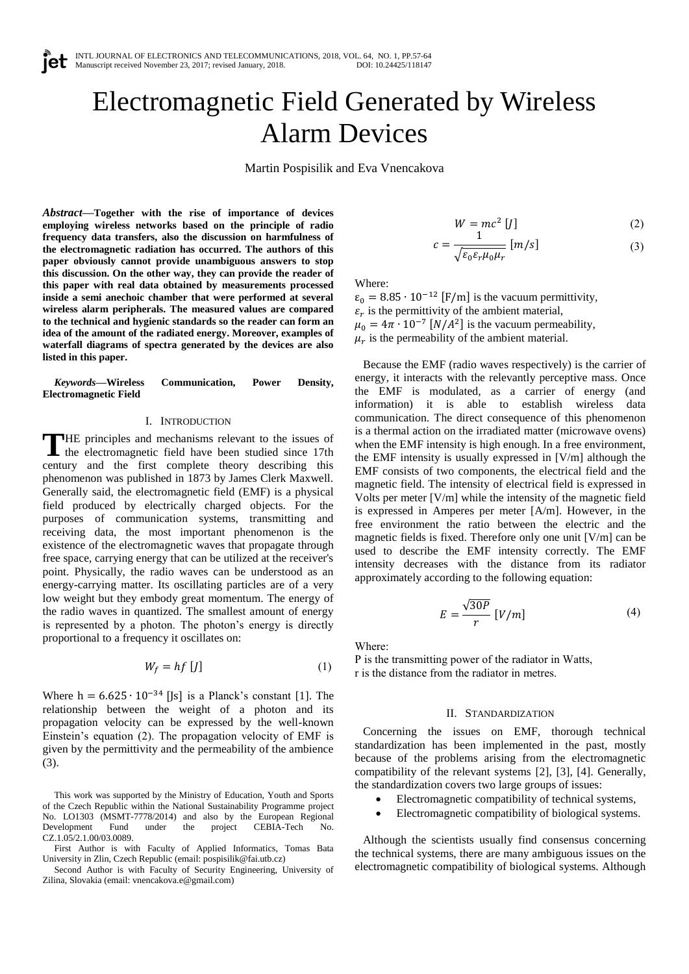# Electromagnetic Field Generated by Wireless Alarm Devices

Martin Pospisilik and Eva Vnencakova

*Abstract***—Together with the rise of importance of devices employing wireless networks based on the principle of radio frequency data transfers, also the discussion on harmfulness of the electromagnetic radiation has occurred. The authors of this paper obviously cannot provide unambiguous answers to stop this discussion. On the other way, they can provide the reader of this paper with real data obtained by measurements processed inside a semi anechoic chamber that were performed at several wireless alarm peripherals. The measured values are compared to the technical and hygienic standards so the reader can form an idea of the amount of the radiated energy. Moreover, examples of waterfall diagrams of spectra generated by the devices are also listed in this paper.**

*Keywords***—Wireless Communication, Power Density, Electromagnetic Field**

#### I. INTRODUCTION

THE principles and mechanisms relevant to the issues of the electromagnetic field have been studied since 17th the electromagnetic field have been studied since 17th century and the first complete theory describing this phenomenon was published in 1873 by James Clerk Maxwell. Generally said, the electromagnetic field (EMF) is a physical field produced by electrically charged objects. For the purposes of communication systems, transmitting and receiving data, the most important phenomenon is the existence of the electromagnetic waves that propagate through free space, carrying energy that can be utilized at the receiver's point. Physically, the radio waves can be understood as an energy-carrying matter. Its oscillating particles are of a very low weight but they embody great momentum. The energy of the radio waves in quantized. The smallest amount of energy is represented by a photon. The photon's energy is directly proportional to a frequency it oscillates on:

$$
W_f = hf [J] \tag{1}
$$

Where  $h = 6.625 \cdot 10^{-34}$  [Js] is a Planck's constant [1]. The relationship between the weight of a photon and its propagation velocity can be expressed by the well-known Einstein's equation (2). The propagation velocity of EMF is given by the permittivity and the permeability of the ambience (3).

This work was supported by the Ministry of Education, Youth and Sports of the Czech Republic within the National Sustainability Programme project No. LO1303 (MSMT-7778/2014) and also by the European Regional Development Fund under the project CEBIA-Tech No. Development Fund under the project CEBIA-Tech No. CZ.1.05/2.1.00/03.0089.

First Author is with Faculty of Applied Informatics, Tomas Bata University in Zlin, Czech Republic (email: pospisilik@fai.utb.cz)

Second Author is with Faculty of Security Engineering, University of Zilina, Slovakia (email: vnencakova.e@gmail.com)

$$
W = mc^2 [J] \tag{2}
$$

$$
c = \frac{1}{\sqrt{\varepsilon_0 \varepsilon_r \mu_0 \mu_r}} \left[ m/s \right] \tag{3}
$$

Where:

 $\varepsilon_0 = 8.85 \cdot 10^{-12}$  [F/m] is the vacuum permittivity,  $\varepsilon_r$  is the permittivity of the ambient material,  $\mu_0 = 4\pi \cdot 10^{-7} [N/A^2]$  is the vacuum permeability,  $\mu_r$  is the permeability of the ambient material.

Because the EMF (radio waves respectively) is the carrier of energy, it interacts with the relevantly perceptive mass. Once the EMF is modulated, as a carrier of energy (and information) it is able to establish wireless data communication. The direct consequence of this phenomenon is a thermal action on the irradiated matter (microwave ovens) when the EMF intensity is high enough. In a free environment, the EMF intensity is usually expressed in [V/m] although the EMF consists of two components, the electrical field and the magnetic field. The intensity of electrical field is expressed in Volts per meter [V/m] while the intensity of the magnetic field is expressed in Amperes per meter [A/m]. However, in the free environment the ratio between the electric and the magnetic fields is fixed. Therefore only one unit [V/m] can be used to describe the EMF intensity correctly. The EMF intensity decreases with the distance from its radiator approximately according to the following equation:

$$
E = \frac{\sqrt{30P}}{r} \left[ V/m \right] \tag{4}
$$

Where:

P is the transmitting power of the radiator in Watts, r is the distance from the radiator in metres.

## II. STANDARDIZATION

Concerning the issues on EMF, thorough technical standardization has been implemented in the past, mostly because of the problems arising from the electromagnetic compatibility of the relevant systems [2], [3], [4]. Generally, the standardization covers two large groups of issues:

- Electromagnetic compatibility of technical systems,
- Electromagnetic compatibility of biological systems.

Although the scientists usually find consensus concerning the technical systems, there are many ambiguous issues on the electromagnetic compatibility of biological systems. Although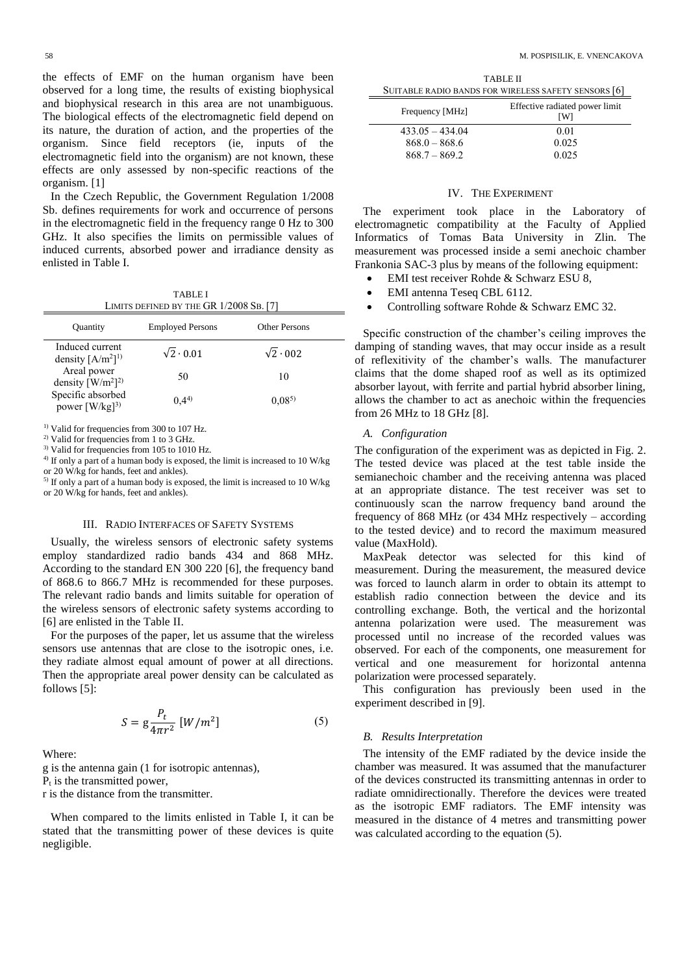the effects of EMF on the human organism have been observed for a long time, the results of existing biophysical and biophysical research in this area are not unambiguous. The biological effects of the electromagnetic field depend on its nature, the duration of action, and the properties of the organism. Since field receptors (ie, inputs of the electromagnetic field into the organism) are not known, these effects are only assessed by non-specific reactions of the organism. [1]

In the Czech Republic, the Government Regulation 1/2008 Sb. defines requirements for work and occurrence of persons in the electromagnetic field in the frequency range 0 Hz to 300 GHz. It also specifies the limits on permissible values of induced currents, absorbed power and irradiance density as enlisted in Table I.

TABLE I LIMITS DEFINED BY THE GR 1/2008 SB. [7]

| <b>Ouantity</b>                                         | <b>Employed Persons</b> | <b>Other Persons</b> | Specific con                                                  |
|---------------------------------------------------------|-------------------------|----------------------|---------------------------------------------------------------|
| Induced current<br>density $[A/m^2]^{1}$                | $\sqrt{2} \cdot 0.01$   | $\sqrt{2} \cdot 002$ | damping of st<br>of reflexitivit                              |
| Areal power<br>density $\left[\frac{W}{m^2}\right]^{2}$ | 50                      | 10                   | claims that the<br>absorber layou                             |
| Specific absorbed<br>power $[W/kg]^3$                   | (0.44)                  | $0.08^{5}$           | allows the cha<br>$L_{\text{max}}$ $\Omega \subset \text{MT}$ |

<sup>1)</sup> Valid for frequencies from 300 to 107 Hz.

<sup>2)</sup> Valid for frequencies from 1 to 3 GHz.

<sup>3)</sup> Valid for frequencies from 105 to 1010 Hz.

<sup>4)</sup> If only a part of a human body is exposed, the limit is increased to 10 W/kg or 20 W/kg for hands, feet and ankles).

5) If only a part of a human body is exposed, the limit is increased to 10 W/kg or 20 W/kg for hands, feet and ankles).

#### III. RADIO INTERFACES OF SAFETY SYSTEMS

Usually, the wireless sensors of electronic safety systems employ standardized radio bands 434 and 868 MHz. According to the standard EN 300 220 [6], the frequency band of 868.6 to 866.7 MHz is recommended for these purposes. The relevant radio bands and limits suitable for operation of the wireless sensors of electronic safety systems according to [6] are enlisted in the Table II.

For the purposes of the paper, let us assume that the wireless sensors use antennas that are close to the isotropic ones, i.e. they radiate almost equal amount of power at all directions. Then the appropriate areal power density can be calculated as follows [5]:

$$
S = g \frac{P_t}{4\pi r^2} \left[ W/m^2 \right] \tag{5}
$$

Where:

g is the antenna gain (1 for isotropic antennas),

 $P_t$  is the transmitted power,

r is the distance from the transmitter.

When compared to the limits enlisted in Table I, it can be stated that the transmitting power of these devices is quite negligible.

TABLE II SUITABLE RADIO BANDS FOR WIRELESS SAFETY SENSORS [6]

| Frequency [MHz]   | Effective radiated power limit<br><b>TW1</b> |
|-------------------|----------------------------------------------|
| $433.05 - 434.04$ | 0.01                                         |
| $868.0 - 868.6$   | 0.025                                        |
| $868.7 - 869.2$   | 0.025                                        |

### IV. THE EXPERIMENT

The experiment took place in the Laboratory of electromagnetic compatibility at the Faculty of Applied Informatics of Tomas Bata University in Zlin. The measurement was processed inside a semi anechoic chamber Frankonia SAC-3 plus by means of the following equipment:

- EMI test receiver Rohde & Schwarz ESU 8,
- EMI antenna Teseq CBL 6112.
- Controlling software Rohde & Schwarz EMC 32.

Specific construction of the chamber's ceiling improves the damping of standing waves, that may occur inside as a result of reflexitivity of the chamber's walls. The manufacturer  $\frac{10}{2}$  50 10 claims that the dome shaped roof as well as its optimized absorber layout, with ferrite and partial hybrid absorber lining, allows the chamber to act as anechoic within the frequencies from 26 MHz to 18 GHz [8].

#### *A. Configuration*

The configuration of the experiment was as depicted in Fig. 2. The tested device was placed at the test table inside the semianechoic chamber and the receiving antenna was placed at an appropriate distance. The test receiver was set to continuously scan the narrow frequency band around the frequency of 868 MHz (or 434 MHz respectively – according to the tested device) and to record the maximum measured value (MaxHold).

MaxPeak detector was selected for this kind of measurement. During the measurement, the measured device was forced to launch alarm in order to obtain its attempt to establish radio connection between the device and its controlling exchange. Both, the vertical and the horizontal antenna polarization were used. The measurement was processed until no increase of the recorded values was observed. For each of the components, one measurement for vertical and one measurement for horizontal antenna polarization were processed separately.

This configuration has previously been used in the experiment described in [9].

#### *B. Results Interpretation*

The intensity of the EMF radiated by the device inside the chamber was measured. It was assumed that the manufacturer of the devices constructed its transmitting antennas in order to radiate omnidirectionally. Therefore the devices were treated as the isotropic EMF radiators. The EMF intensity was measured in the distance of 4 metres and transmitting power was calculated according to the equation (5).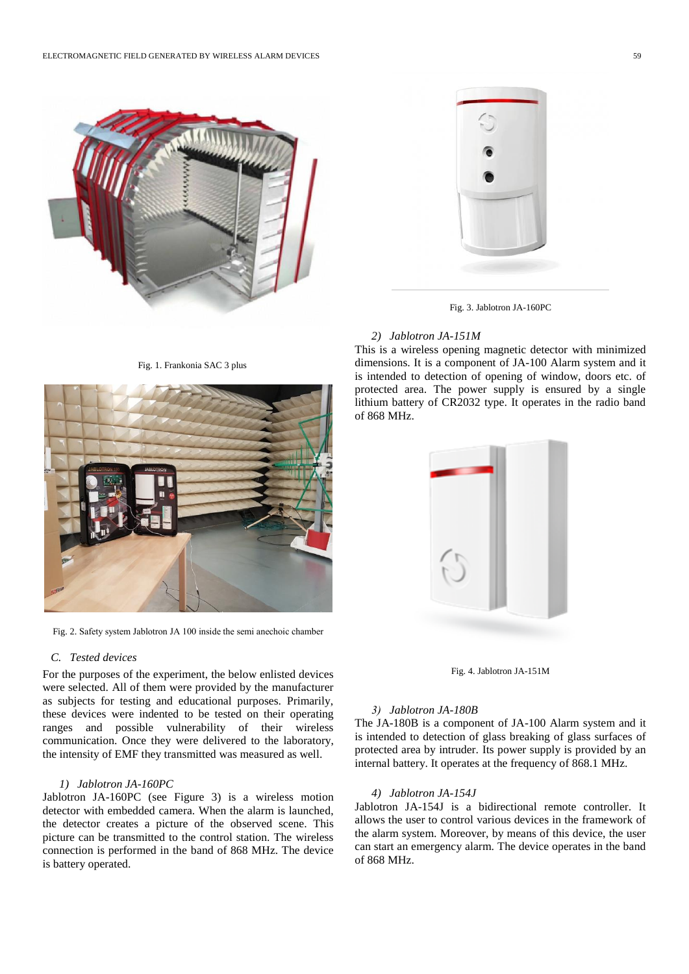

Fig. 1. Frankonia SAC 3 plus



Fig. 2. Safety system Jablotron JA 100 inside the semi anechoic chamber

## *C. Tested devices*

For the purposes of the experiment, the below enlisted devices were selected. All of them were provided by the manufacturer as subjects for testing and educational purposes. Primarily, these devices were indented to be tested on their operating ranges and possible vulnerability of their wireless communication. Once they were delivered to the laboratory, the intensity of EMF they transmitted was measured as well.

## *1) Jablotron JA-160PC*

Jablotron JA-160PC (see Figure 3) is a wireless motion detector with embedded camera. When the alarm is launched, the detector creates a picture of the observed scene. This picture can be transmitted to the control station. The wireless connection is performed in the band of 868 MHz. The device is battery operated.



Fig. 3. Jablotron JA-160PC

### *2) Jablotron JA-151M*

This is a wireless opening magnetic detector with minimized dimensions. It is a component of JA-100 Alarm system and it is intended to detection of opening of window, doors etc. of protected area. The power supply is ensured by a single lithium battery of CR2032 type. It operates in the radio band of 868 MHz.



Fig. 4. Jablotron JA-151M

#### *3) Jablotron JA-180B*

The JA-180B is a component of JA-100 Alarm system and it is intended to detection of glass breaking of glass surfaces of protected area by intruder. Its power supply is provided by an internal battery. It operates at the frequency of 868.1 MHz.

## *4) Jablotron JA-154J*

Jablotron JA-154J is a bidirectional remote controller. It allows the user to control various devices in the framework of the alarm system. Moreover, by means of this device, the user can start an emergency alarm. The device operates in the band of 868 MHz.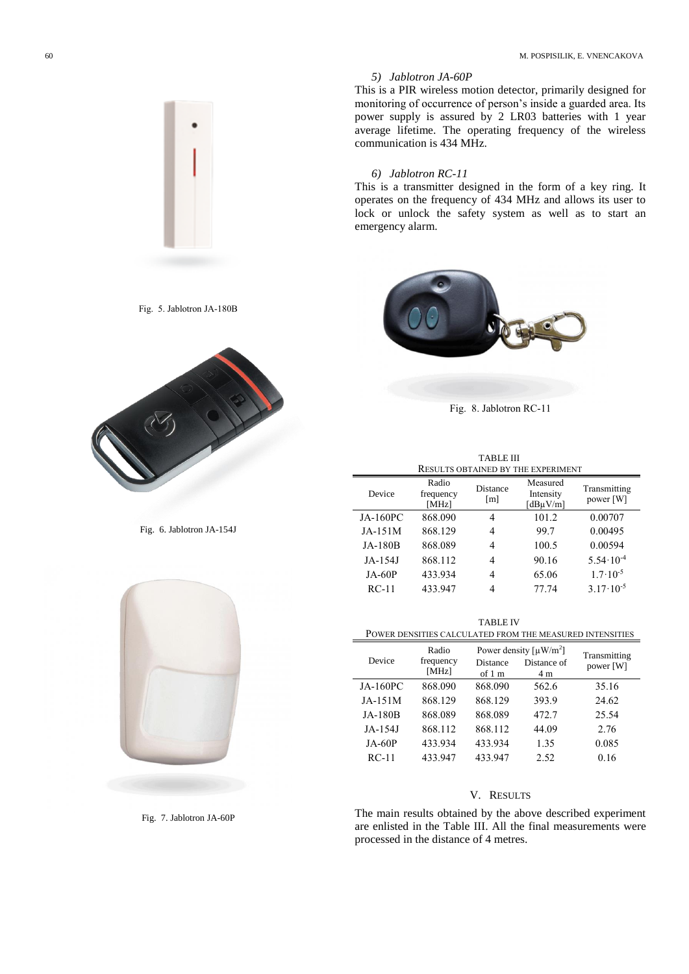## *5) Jablotron JA-60P*

This is a PIR wireless motion detector, primarily designed for monitoring of occurrence of person's inside a guarded area. Its power supply is assured by 2 LR03 batteries with 1 year average lifetime. The operating frequency of the wireless communication is 434 MHz.

## *6) Jablotron RC-11*

This is a transmitter designed in the form of a key ring. It operates on the frequency of 434 MHz and allows its user to lock or unlock the safety system as well as to start an emergency alarm.



Fig. 8. Jablotron RC-11

| <b>TABLE III</b>                   |                             |                 |                                       |                           |  |  |  |
|------------------------------------|-----------------------------|-----------------|---------------------------------------|---------------------------|--|--|--|
| RESULTS OBTAINED BY THE EXPERIMENT |                             |                 |                                       |                           |  |  |  |
| Device                             | Radio<br>frequency<br>[MHz] | Distance<br>[m] | Measured<br>Intensity<br>[dBµ $V/m$ ] | Transmitting<br>power [W] |  |  |  |
| <b>JA-160PC</b>                    | 868.090                     | 4               | 101.2                                 | 0.00707                   |  |  |  |
| JA-151M                            | 868.129                     | 4               | 99.7                                  | 0.00495                   |  |  |  |
| <b>JA-180B</b>                     | 868.089                     | 4               | 100.5                                 | 0.00594                   |  |  |  |
| JA-154J                            | 868.112                     | 4               | 90.16                                 | $5.54 \cdot 10^{-4}$      |  |  |  |
| $JA-60P$                           | 433.934                     | 4               | 65.06                                 | $1.7 \cdot 10^{-5}$       |  |  |  |
| $RC-11$                            | 433.947                     | 4               | 77.74                                 | $3.17 \cdot 10^{-5}$      |  |  |  |

TABLE IV POWER DENSITIES CALCULATED FROM THE MEASURED INTENSITIES

| Device          | Radio<br>frequency<br>[MHz] | Distance<br>of $1 \text{ m}$ | Power density $\lceil \mu W/m^2 \rceil$<br>Distance of<br>4 m | Transmitting<br>power [W] |
|-----------------|-----------------------------|------------------------------|---------------------------------------------------------------|---------------------------|
| <b>JA-160PC</b> | 868.090                     | 868.090                      | 562.6                                                         | 35.16                     |
| JA-151M         | 868.129                     | 868.129                      | 393.9                                                         | 24.62                     |
| <b>JA-180B</b>  | 868.089                     | 868.089                      | 472.7                                                         | 25.54                     |
| JA-154J         | 868.112                     | 868.112                      | 44.09                                                         | 2.76                      |
| $JA-60P$        | 433.934                     | 433.934                      | 1.35                                                          | 0.085                     |
| $RC-11$         | 433.947                     | 433.947                      | 2.52                                                          | 0.16                      |
|                 |                             |                              |                                                               |                           |

## V. RESULTS

The main results obtained by the above described experiment are enlisted in the Table III. All the final measurements were processed in the distance of 4 metres.



Fig. 5. Jablotron JA-180B



Fig. 6. Jablotron JA-154J



Fig. 7. Jablotron JA-60P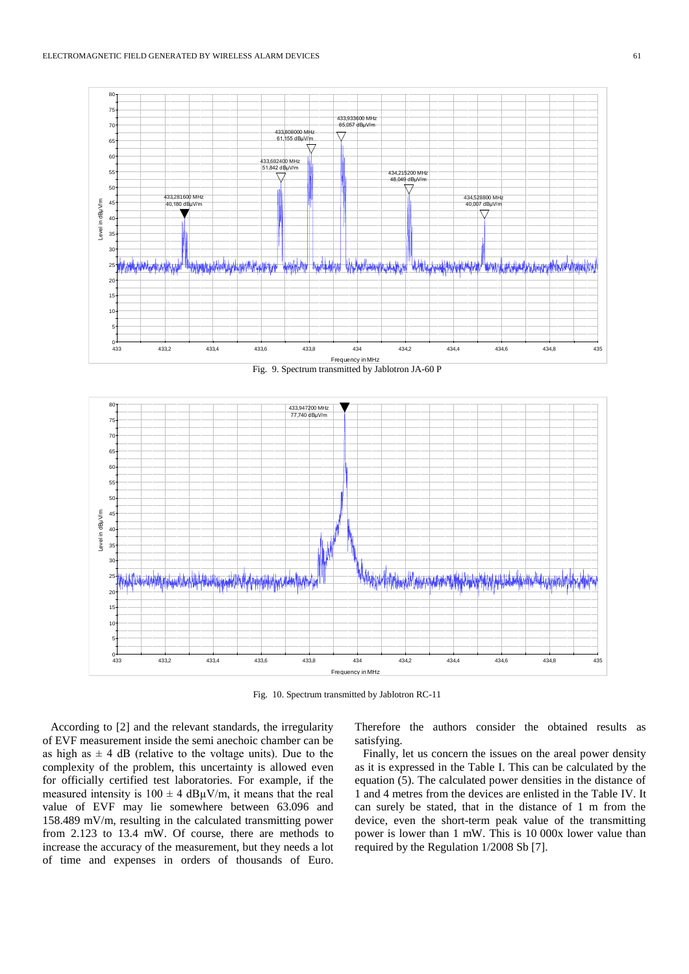

Fig. 10. Spectrum transmitted by Jablotron RC-11

According to [2] and the relevant standards, the irregularity of EVF measurement inside the semi anechoic chamber can be as high as  $\pm 4$  dB (relative to the voltage units). Due to the complexity of the problem, this uncertainty is allowed even for officially certified test laboratories. For example, if the measured intensity is  $100 \pm 4$  dB $\mu$ V/m, it means that the real value of EVF may lie somewhere between 63.096 and 158.489 mV/m, resulting in the calculated transmitting power from 2.123 to 13.4 mW. Of course, there are methods to increase the accuracy of the measurement, but they needs a lot of time and expenses in orders of thousands of Euro. Therefore the authors consider the obtained results as satisfying.

Finally, let us concern the issues on the areal power density as it is expressed in the Table I. This can be calculated by the equation (5). The calculated power densities in the distance of 1 and 4 metres from the devices are enlisted in the Table IV. It can surely be stated, that in the distance of 1 m from the device, even the short-term peak value of the transmitting power is lower than 1 mW. This is 10 000x lower value than required by the Regulation 1/2008 Sb [7].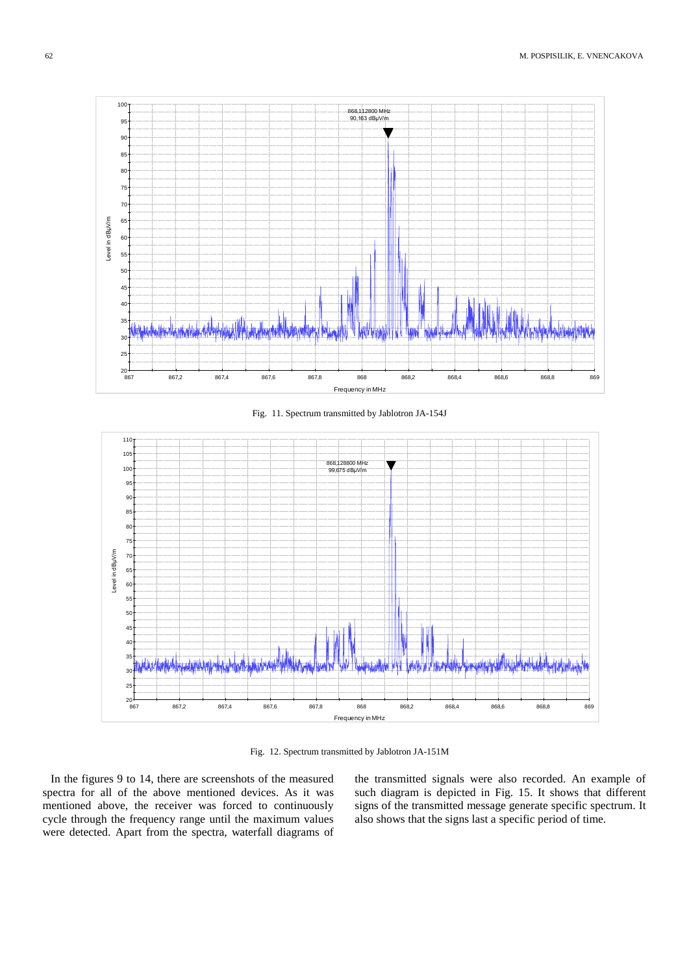

Fig. 11. Spectrum transmitted by Jablotron JA-154J



Fig. 12. Spectrum transmitted by Jablotron JA-151M

In the figures 9 to 14, there are screenshots of the measured spectra for all of the above mentioned devices. As it was mentioned above, the receiver was forced to continuously cycle through the frequency range until the maximum values were detected. Apart from the spectra, waterfall diagrams of the transmitted signals were also recorded. An example of such diagram is depicted in Fig. 15. It shows that different signs of the transmitted message generate specific spectrum. It also shows that the signs last a specific period of time.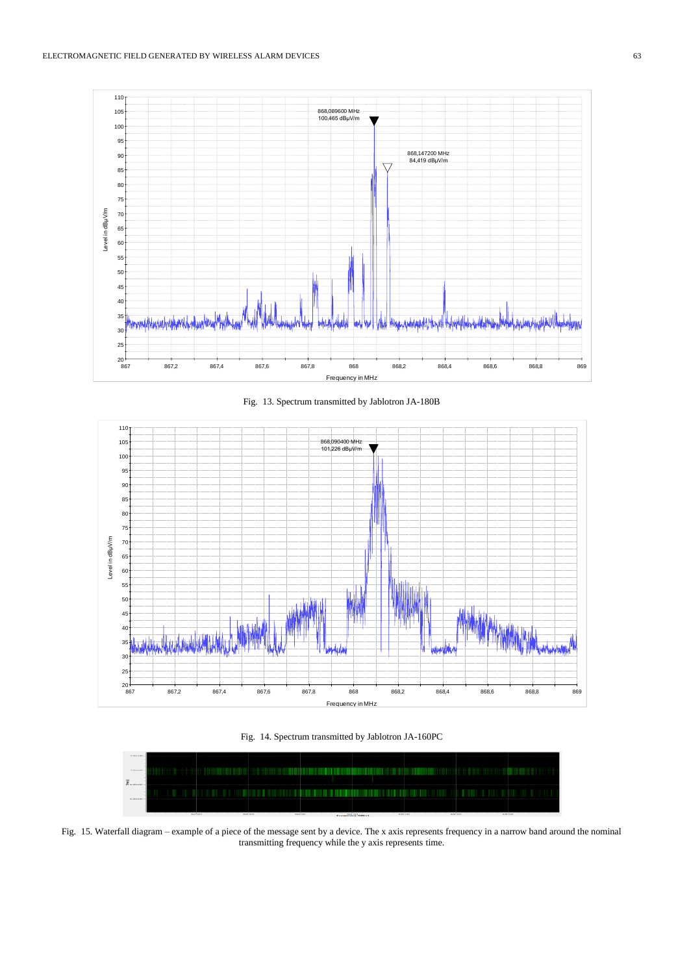

Fig. 13. Spectrum transmitted by Jablotron JA-180B



Fig. 14. Spectrum transmitted by Jablotron JA-160PC



Fig. 15. Waterfall diagram – example of a piece of the message sent by a device. The x axis represents frequency in a narrow band around the nominal transmitting frequency while the y axis represents time.